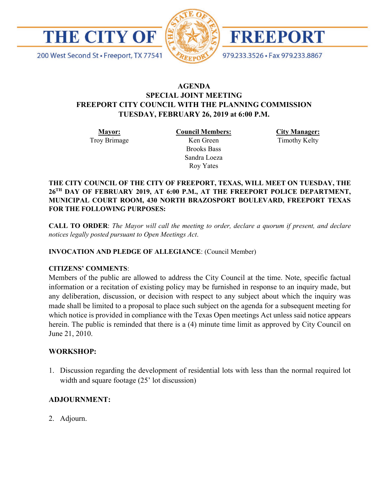

200 West Second St · Freeport, TX 77541



FREEPORT

979.233.3526 · Fax 979.233.8867

## **AGENDA SPECIAL JOINT MEETING FREEPORT CITY COUNCIL WITH THE PLANNING COMMISSION TUESDAY, FEBRUARY 26, 2019 at 6:00 P.M.**

**Mayor:** Troy Brimage **Council Members:** Ken Green

> Brooks Bass Sandra Loeza Roy Yates

**City Manager:** Timothy Kelty

**THE CITY COUNCIL OF THE CITY OF FREEPORT, TEXAS, WILL MEET ON TUESDAY, THE 26TH DAY OF FEBRUARY 2019, AT 6:00 P.M., AT THE FREEPORT POLICE DEPARTMENT, MUNICIPAL COURT ROOM, 430 NORTH BRAZOSPORT BOULEVARD, FREEPORT TEXAS FOR THE FOLLOWING PURPOSES:**

**CALL TO ORDER**: *The Mayor will call the meeting to order, declare a quorum if present, and declare notices legally posted pursuant to Open Meetings Act*.

**INVOCATION AND PLEDGE OF ALLEGIANCE**: (Council Member)

## **CITIZENS' COMMENTS**:

Members of the public are allowed to address the City Council at the time. Note, specific factual information or a recitation of existing policy may be furnished in response to an inquiry made, but any deliberation, discussion, or decision with respect to any subject about which the inquiry was made shall be limited to a proposal to place such subject on the agenda for a subsequent meeting for which notice is provided in compliance with the Texas Open meetings Act unless said notice appears herein. The public is reminded that there is a (4) minute time limit as approved by City Council on June 21, 2010.

## **WORKSHOP:**

1. Discussion regarding the development of residential lots with less than the normal required lot width and square footage (25' lot discussion)

## **ADJOURNMENT:**

2. Adjourn.